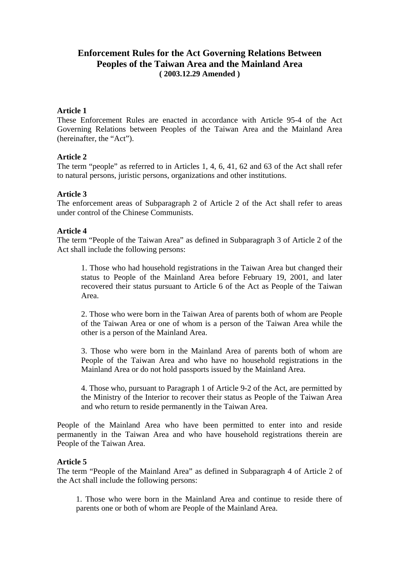# **Enforcement Rules for the Act Governing Relations Between Peoples of the Taiwan Area and the Mainland Area ( 2003.12.29 Amended )**

#### **Article 1**

These Enforcement Rules are enacted in accordance with Article 95-4 of the Act Governing Relations between Peoples of the Taiwan Area and the Mainland Area (hereinafter, the "Act").

#### **Article 2**

The term "people" as referred to in Articles 1, 4, 6, 41, 62 and 63 of the Act shall refer to natural persons, juristic persons, organizations and other institutions.

#### **Article 3**

The enforcement areas of Subparagraph 2 of Article 2 of the Act shall refer to areas under control of the Chinese Communists.

#### **Article 4**

The term "People of the Taiwan Area" as defined in Subparagraph 3 of Article 2 of the Act shall include the following persons:

1. Those who had household registrations in the Taiwan Area but changed their status to People of the Mainland Area before February 19, 2001, and later recovered their status pursuant to Article 6 of the Act as People of the Taiwan Area.

2. Those who were born in the Taiwan Area of parents both of whom are People of the Taiwan Area or one of whom is a person of the Taiwan Area while the other is a person of the Mainland Area.

3. Those who were born in the Mainland Area of parents both of whom are People of the Taiwan Area and who have no household registrations in the Mainland Area or do not hold passports issued by the Mainland Area.

4. Those who, pursuant to Paragraph 1 of Article 9-2 of the Act, are permitted by the Ministry of the Interior to recover their status as People of the Taiwan Area and who return to reside permanently in the Taiwan Area.

People of the Mainland Area who have been permitted to enter into and reside permanently in the Taiwan Area and who have household registrations therein are People of the Taiwan Area.

#### **Article 5**

The term "People of the Mainland Area" as defined in Subparagraph 4 of Article 2 of the Act shall include the following persons:

1. Those who were born in the Mainland Area and continue to reside there of parents one or both of whom are People of the Mainland Area.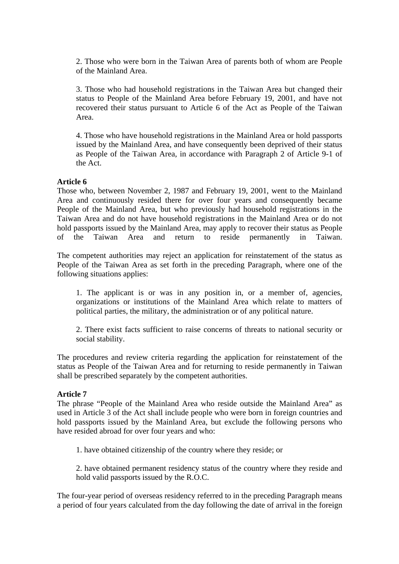2. Those who were born in the Taiwan Area of parents both of whom are People of the Mainland Area.

3. Those who had household registrations in the Taiwan Area but changed their status to People of the Mainland Area before February 19, 2001, and have not recovered their status pursuant to Article 6 of the Act as People of the Taiwan Area.

4. Those who have household registrations in the Mainland Area or hold passports issued by the Mainland Area, and have consequently been deprived of their status as People of the Taiwan Area, in accordance with Paragraph 2 of Article 9-1 of the Act.

#### **Article 6**

Those who, between November 2, 1987 and February 19, 2001, went to the Mainland Area and continuously resided there for over four years and consequently became People of the Mainland Area, but who previously had household registrations in the Taiwan Area and do not have household registrations in the Mainland Area or do not hold passports issued by the Mainland Area, may apply to recover their status as People of the Taiwan Area and return to reside permanently in Taiwan.

The competent authorities may reject an application for reinstatement of the status as People of the Taiwan Area as set forth in the preceding Paragraph, where one of the following situations applies:

1. The applicant is or was in any position in, or a member of, agencies, organizations or institutions of the Mainland Area which relate to matters of political parties, the military, the administration or of any political nature.

2. There exist facts sufficient to raise concerns of threats to national security or social stability.

The procedures and review criteria regarding the application for reinstatement of the status as People of the Taiwan Area and for returning to reside permanently in Taiwan shall be prescribed separately by the competent authorities.

#### **Article 7**

The phrase "People of the Mainland Area who reside outside the Mainland Area" as used in Article 3 of the Act shall include people who were born in foreign countries and hold passports issued by the Mainland Area, but exclude the following persons who have resided abroad for over four years and who:

1. have obtained citizenship of the country where they reside; or

2. have obtained permanent residency status of the country where they reside and hold valid passports issued by the R.O.C.

The four-year period of overseas residency referred to in the preceding Paragraph means a period of four years calculated from the day following the date of arrival in the foreign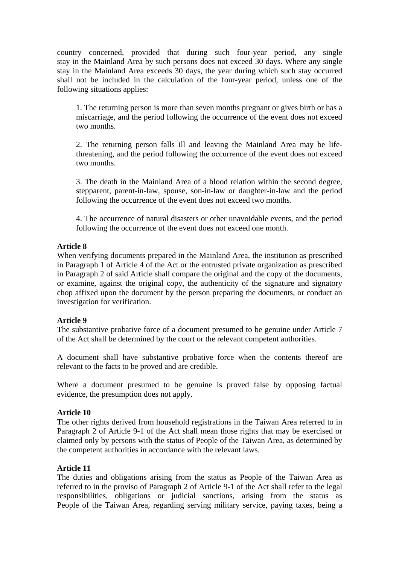country concerned, provided that during such four-year period, any single stay in the Mainland Area by such persons does not exceed 30 days. Where any single stay in the Mainland Area exceeds 30 days, the year during which such stay occurred shall not be included in the calculation of the four-year period, unless one of the following situations applies:

1. The returning person is more than seven months pregnant or gives birth or has a miscarriage, and the period following the occurrence of the event does not exceed two months.

2. The returning person falls ill and leaving the Mainland Area may be lifethreatening, and the period following the occurrence of the event does not exceed two months.

3. The death in the Mainland Area of a blood relation within the second degree, stepparent, parent-in-law, spouse, son-in-law or daughter-in-law and the period following the occurrence of the event does not exceed two months.

4. The occurrence of natural disasters or other unavoidable events, and the period following the occurrence of the event does not exceed one month.

## **Article 8**

When verifying documents prepared in the Mainland Area, the institution as prescribed in Paragraph 1 of Article 4 of the Act or the entrusted private organization as prescribed in Paragraph 2 of said Article shall compare the original and the copy of the documents, or examine, against the original copy, the authenticity of the signature and signatory chop affixed upon the document by the person preparing the documents, or conduct an investigation for verification.

#### **Article 9**

The substantive probative force of a document presumed to be genuine under Article 7 of the Act shall be determined by the court or the relevant competent authorities.

A document shall have substantive probative force when the contents thereof are relevant to the facts to be proved and are credible.

Where a document presumed to be genuine is proved false by opposing factual evidence, the presumption does not apply.

# **Article 10**

The other rights derived from household registrations in the Taiwan Area referred to in Paragraph 2 of Article 9-1 of the Act shall mean those rights that may be exercised or claimed only by persons with the status of People of the Taiwan Area, as determined by the competent authorities in accordance with the relevant laws.

#### **Article 11**

The duties and obligations arising from the status as People of the Taiwan Area as referred to in the proviso of Paragraph 2 of Article 9-1 of the Act shall refer to the legal responsibilities, obligations or judicial sanctions, arising from the status as People of the Taiwan Area, regarding serving military service, paying taxes, being a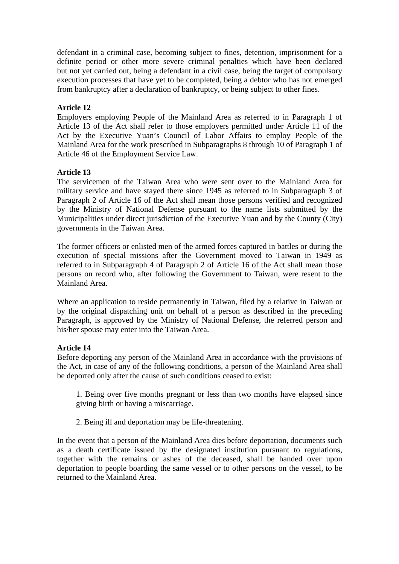defendant in a criminal case, becoming subject to fines, detention, imprisonment for a definite period or other more severe criminal penalties which have been declared but not yet carried out, being a defendant in a civil case, being the target of compulsory execution processes that have yet to be completed, being a debtor who has not emerged from bankruptcy after a declaration of bankruptcy, or being subject to other fines.

# **Article 12**

Employers employing People of the Mainland Area as referred to in Paragraph 1 of Article 13 of the Act shall refer to those employers permitted under Article 11 of the Act by the Executive Yuan's Council of Labor Affairs to employ People of the Mainland Area for the work prescribed in Subparagraphs 8 through 10 of Paragraph 1 of Article 46 of the Employment Service Law.

# **Article 13**

The servicemen of the Taiwan Area who were sent over to the Mainland Area for military service and have stayed there since 1945 as referred to in Subparagraph 3 of Paragraph 2 of Article 16 of the Act shall mean those persons verified and recognized by the Ministry of National Defense pursuant to the name lists submitted by the Municipalities under direct jurisdiction of the Executive Yuan and by the County (City) governments in the Taiwan Area.

The former officers or enlisted men of the armed forces captured in battles or during the execution of special missions after the Government moved to Taiwan in 1949 as referred to in Subparagraph 4 of Paragraph 2 of Article 16 of the Act shall mean those persons on record who, after following the Government to Taiwan, were resent to the Mainland Area.

Where an application to reside permanently in Taiwan, filed by a relative in Taiwan or by the original dispatching unit on behalf of a person as described in the preceding Paragraph, is approved by the Ministry of National Defense, the referred person and his/her spouse may enter into the Taiwan Area.

# **Article 14**

Before deporting any person of the Mainland Area in accordance with the provisions of the Act, in case of any of the following conditions, a person of the Mainland Area shall be deported only after the cause of such conditions ceased to exist:

1. Being over five months pregnant or less than two months have elapsed since giving birth or having a miscarriage.

2. Being ill and deportation may be life-threatening.

In the event that a person of the Mainland Area dies before deportation, documents such as a death certificate issued by the designated institution pursuant to regulations, together with the remains or ashes of the deceased, shall be handed over upon deportation to people boarding the same vessel or to other persons on the vessel, to be returned to the Mainland Area.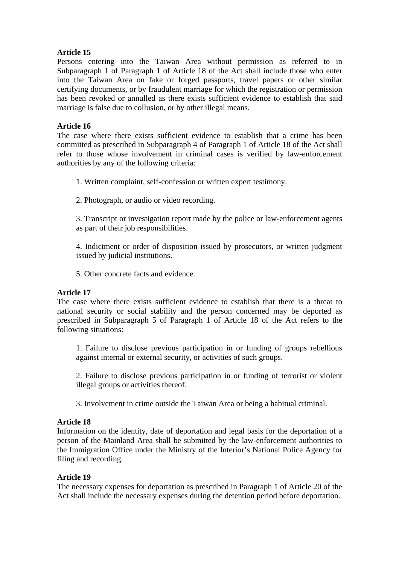Persons entering into the Taiwan Area without permission as referred to in Subparagraph 1 of Paragraph 1 of Article 18 of the Act shall include those who enter into the Taiwan Area on fake or forged passports, travel papers or other similar certifying documents, or by fraudulent marriage for which the registration or permission has been revoked or annulled as there exists sufficient evidence to establish that said marriage is false due to collusion, or by other illegal means.

# **Article 16**

The case where there exists sufficient evidence to establish that a crime has been committed as prescribed in Subparagraph 4 of Paragraph 1 of Article 18 of the Act shall refer to those whose involvement in criminal cases is verified by law-enforcement authorities by any of the following criteria:

1. Written complaint, self-confession or written expert testimony.

2. Photograph, or audio or video recording.

3. Transcript or investigation report made by the police or law-enforcement agents as part of their job responsibilities.

4. Indictment or order of disposition issued by prosecutors, or written judgment issued by judicial institutions.

5. Other concrete facts and evidence.

# **Article 17**

The case where there exists sufficient evidence to establish that there is a threat to national security or social stability and the person concerned may be deported as prescribed in Subparagraph 5 of Paragraph 1 of Article 18 of the Act refers to the following situations:

1. Failure to disclose previous participation in or funding of groups rebellious against internal or external security, or activities of such groups.

2. Failure to disclose previous participation in or funding of terrorist or violent illegal groups or activities thereof.

3. Involvement in crime outside the Taiwan Area or being a habitual criminal.

# **Article 18**

Information on the identity, date of deportation and legal basis for the deportation of a person of the Mainland Area shall be submitted by the law-enforcement authorities to the Immigration Office under the Ministry of the Interior's National Police Agency for filing and recording.

# **Article 19**

The necessary expenses for deportation as prescribed in Paragraph 1 of Article 20 of the Act shall include the necessary expenses during the detention period before deportation.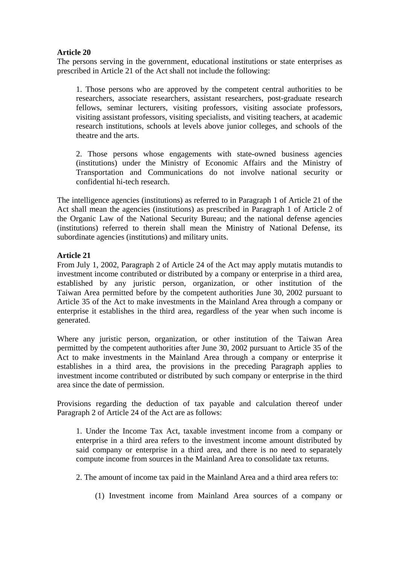The persons serving in the government, educational institutions or state enterprises as prescribed in Article 21 of the Act shall not include the following:

1. Those persons who are approved by the competent central authorities to be researchers, associate researchers, assistant researchers, post-graduate research fellows, seminar lecturers, visiting professors, visiting associate professors, visiting assistant professors, visiting specialists, and visiting teachers, at academic research institutions, schools at levels above junior colleges, and schools of the theatre and the arts.

2. Those persons whose engagements with state-owned business agencies (institutions) under the Ministry of Economic Affairs and the Ministry of Transportation and Communications do not involve national security or confidential hi-tech research.

The intelligence agencies (institutions) as referred to in Paragraph 1 of Article 21 of the Act shall mean the agencies (institutions) as prescribed in Paragraph 1 of Article 2 of the Organic Law of the National Security Bureau; and the national defense agencies (institutions) referred to therein shall mean the Ministry of National Defense, its subordinate agencies (institutions) and military units.

## **Article 21**

From July 1, 2002, Paragraph 2 of Article 24 of the Act may apply mutatis mutandis to investment income contributed or distributed by a company or enterprise in a third area, established by any juristic person, organization, or other institution of the Taiwan Area permitted before by the competent authorities June 30, 2002 pursuant to Article 35 of the Act to make investments in the Mainland Area through a company or enterprise it establishes in the third area, regardless of the year when such income is generated.

Where any juristic person, organization, or other institution of the Taiwan Area permitted by the competent authorities after June 30, 2002 pursuant to Article 35 of the Act to make investments in the Mainland Area through a company or enterprise it establishes in a third area, the provisions in the preceding Paragraph applies to investment income contributed or distributed by such company or enterprise in the third area since the date of permission.

Provisions regarding the deduction of tax payable and calculation thereof under Paragraph 2 of Article 24 of the Act are as follows:

1. Under the Income Tax Act, taxable investment income from a company or enterprise in a third area refers to the investment income amount distributed by said company or enterprise in a third area, and there is no need to separately compute income from sources in the Mainland Area to consolidate tax returns.

2. The amount of income tax paid in the Mainland Area and a third area refers to:

(1) Investment income from Mainland Area sources of a company or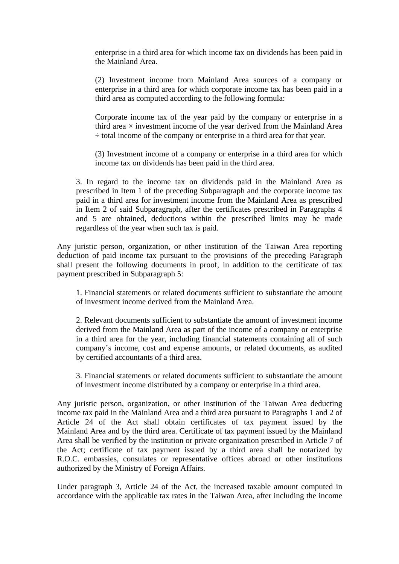enterprise in a third area for which income tax on dividends has been paid in the Mainland Area.

(2) Investment income from Mainland Area sources of a company or enterprise in a third area for which corporate income tax has been paid in a third area as computed according to the following formula:

Corporate income tax of the year paid by the company or enterprise in a third area  $\times$  investment income of the year derived from the Mainland Area ÷ total income of the company or enterprise in a third area for that year.

(3) Investment income of a company or enterprise in a third area for which income tax on dividends has been paid in the third area.

3. In regard to the income tax on dividends paid in the Mainland Area as prescribed in Item 1 of the preceding Subparagraph and the corporate income tax paid in a third area for investment income from the Mainland Area as prescribed in Item 2 of said Subparagraph, after the certificates prescribed in Paragraphs 4 and 5 are obtained, deductions within the prescribed limits may be made regardless of the year when such tax is paid.

Any juristic person, organization, or other institution of the Taiwan Area reporting deduction of paid income tax pursuant to the provisions of the preceding Paragraph shall present the following documents in proof, in addition to the certificate of tax payment prescribed in Subparagraph 5:

1. Financial statements or related documents sufficient to substantiate the amount of investment income derived from the Mainland Area.

2. Relevant documents sufficient to substantiate the amount of investment income derived from the Mainland Area as part of the income of a company or enterprise in a third area for the year, including financial statements containing all of such company's income, cost and expense amounts, or related documents, as audited by certified accountants of a third area.

3. Financial statements or related documents sufficient to substantiate the amount of investment income distributed by a company or enterprise in a third area.

Any juristic person, organization, or other institution of the Taiwan Area deducting income tax paid in the Mainland Area and a third area pursuant to Paragraphs 1 and 2 of Article 24 of the Act shall obtain certificates of tax payment issued by the Mainland Area and by the third area. Certificate of tax payment issued by the Mainland Area shall be verified by the institution or private organization prescribed in Article 7 of the Act; certificate of tax payment issued by a third area shall be notarized by R.O.C. embassies, consulates or representative offices abroad or other institutions authorized by the Ministry of Foreign Affairs.

Under paragraph 3, Article 24 of the Act, the increased taxable amount computed in accordance with the applicable tax rates in the Taiwan Area, after including the income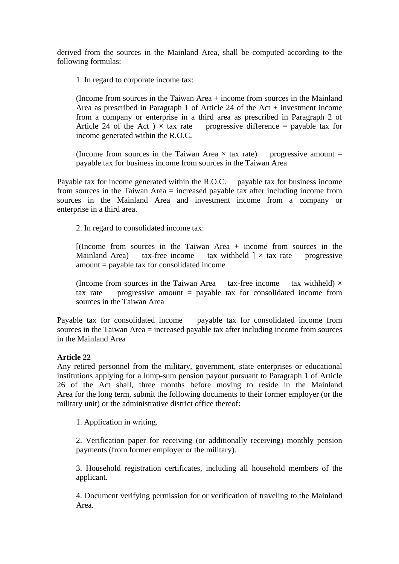derived from the sources in the Mainland Area, shall be computed according to the following formulas:

1. In regard to corporate income tax:

(Income from sources in the Taiwan Area + income from sources in the Mainland Area as prescribed in Paragraph 1 of Article 24 of the Act + investment income from a company or enterprise in a third area as prescribed in Paragraph 2 of Article 24 of the Act  $) \times$  tax rate progressive difference = payable tax for income generated within the R.O.C.

(Income from sources in the Taiwan Area  $\times$  tax rate) progressive amount = payable tax for business income from sources in the Taiwan Area

Payable tax for income generated within the R.O.C. payable tax for business income from sources in the Taiwan Area = increased payable tax after including income from sources in the Mainland Area and investment income from a company or enterprise in a third area.

2. In regard to consolidated income tax:

[(Income from sources in the Taiwan Area + income from sources in the Mainland Area) tax-free income tax withheld  $] \times$  tax rate progressive amount = payable tax for consolidated income

(Income from sources in the Taiwan Area tax-free income tax withheld)  $\times$ tax rate progressive amount  $=$  payable tax for consolidated income from sources in the Taiwan Area

Payable tax for consolidated income payable tax for consolidated income from sources in the Taiwan Area = increased payable tax after including income from sources in the Mainland Area

#### **Article 22**

Any retired personnel from the military, government, state enterprises or educational institutions applying for a lump-sum pension payout pursuant to Paragraph 1 of Article 26 of the Act shall, three months before moving to reside in the Mainland Area for the long term, submit the following documents to their former employer (or the military unit) or the administrative district office thereof:

1. Application in writing.

2. Verification paper for receiving (or additionally receiving) monthly pension payments (from former employer or the military).

3. Household registration certificates, including all household members of the applicant.

4. Document verifying permission for or verification of traveling to the Mainland Area.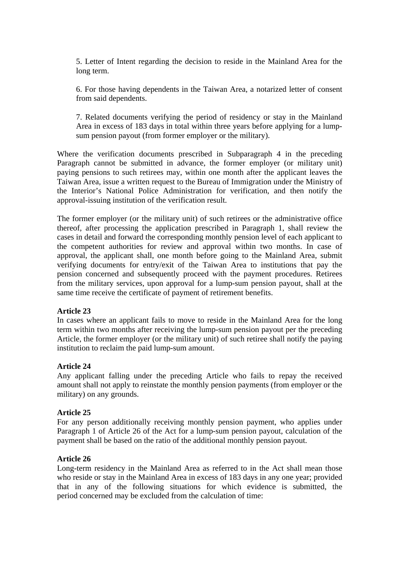5. Letter of Intent regarding the decision to reside in the Mainland Area for the long term.

6. For those having dependents in the Taiwan Area, a notarized letter of consent from said dependents.

7. Related documents verifying the period of residency or stay in the Mainland Area in excess of 183 days in total within three years before applying for a lumpsum pension payout (from former employer or the military).

Where the verification documents prescribed in Subparagraph 4 in the preceding Paragraph cannot be submitted in advance, the former employer (or military unit) paying pensions to such retirees may, within one month after the applicant leaves the Taiwan Area, issue a written request to the Bureau of Immigration under the Ministry of the Interior's National Police Administration for verification, and then notify the approval-issuing institution of the verification result.

The former employer (or the military unit) of such retirees or the administrative office thereof, after processing the application prescribed in Paragraph 1, shall review the cases in detail and forward the corresponding monthly pension level of each applicant to the competent authorities for review and approval within two months. In case of approval, the applicant shall, one month before going to the Mainland Area, submit verifying documents for entry/exit of the Taiwan Area to institutions that pay the pension concerned and subsequently proceed with the payment procedures. Retirees from the military services, upon approval for a lump-sum pension payout, shall at the same time receive the certificate of payment of retirement benefits.

#### **Article 23**

In cases where an applicant fails to move to reside in the Mainland Area for the long term within two months after receiving the lump-sum pension payout per the preceding Article, the former employer (or the military unit) of such retiree shall notify the paying institution to reclaim the paid lump-sum amount.

#### **Article 24**

Any applicant falling under the preceding Article who fails to repay the received amount shall not apply to reinstate the monthly pension payments (from employer or the military) on any grounds.

#### **Article 25**

For any person additionally receiving monthly pension payment, who applies under Paragraph 1 of Article 26 of the Act for a lump-sum pension payout, calculation of the payment shall be based on the ratio of the additional monthly pension payout.

#### **Article 26**

Long-term residency in the Mainland Area as referred to in the Act shall mean those who reside or stay in the Mainland Area in excess of 183 days in any one year; provided that in any of the following situations for which evidence is submitted, the period concerned may be excluded from the calculation of time: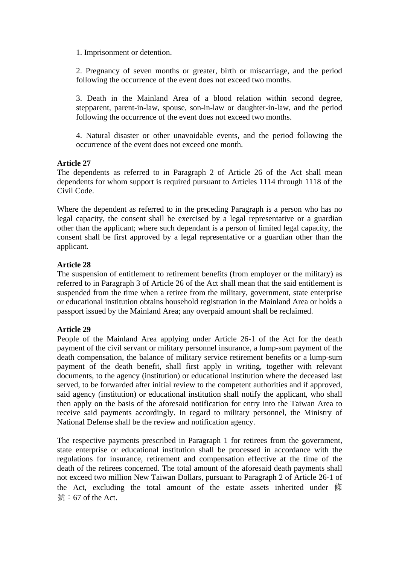1. Imprisonment or detention.

2. Pregnancy of seven months or greater, birth or miscarriage, and the period following the occurrence of the event does not exceed two months.

3. Death in the Mainland Area of a blood relation within second degree, stepparent, parent-in-law, spouse, son-in-law or daughter-in-law, and the period following the occurrence of the event does not exceed two months.

4. Natural disaster or other unavoidable events, and the period following the occurrence of the event does not exceed one month.

# **Article 27**

The dependents as referred to in Paragraph 2 of Article 26 of the Act shall mean dependents for whom support is required pursuant to Articles 1114 through 1118 of the Civil Code.

Where the dependent as referred to in the preceding Paragraph is a person who has no legal capacity, the consent shall be exercised by a legal representative or a guardian other than the applicant; where such dependant is a person of limited legal capacity, the consent shall be first approved by a legal representative or a guardian other than the applicant.

## **Article 28**

The suspension of entitlement to retirement benefits (from employer or the military) as referred to in Paragraph 3 of Article 26 of the Act shall mean that the said entitlement is suspended from the time when a retiree from the military, government, state enterprise or educational institution obtains household registration in the Mainland Area or holds a passport issued by the Mainland Area; any overpaid amount shall be reclaimed.

# **Article 29**

People of the Mainland Area applying under Article 26-1 of the Act for the death payment of the civil servant or military personnel insurance, a lump-sum payment of the death compensation, the balance of military service retirement benefits or a lump-sum payment of the death benefit, shall first apply in writing, together with relevant documents, to the agency (institution) or educational institution where the deceased last served, to be forwarded after initial review to the competent authorities and if approved, said agency (institution) or educational institution shall notify the applicant, who shall then apply on the basis of the aforesaid notification for entry into the Taiwan Area to receive said payments accordingly. In regard to military personnel, the Ministry of National Defense shall be the review and notification agency.

The respective payments prescribed in Paragraph 1 for retirees from the government, state enterprise or educational institution shall be processed in accordance with the regulations for insurance, retirement and compensation effective at the time of the death of the retirees concerned. The total amount of the aforesaid death payments shall not exceed two million New Taiwan Dollars, pursuant to Paragraph 2 of Article 26-1 of the Act, excluding the total amount of the estate assets inherited under 條 號:67 of the Act.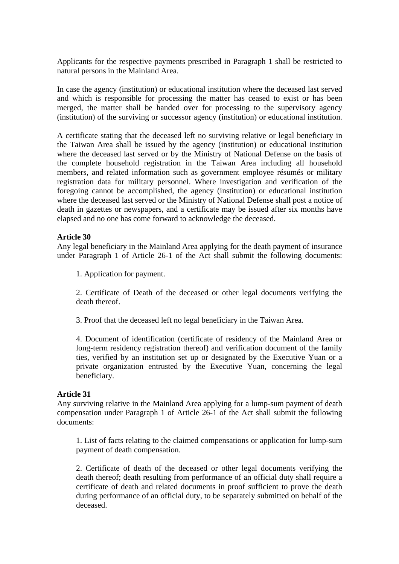Applicants for the respective payments prescribed in Paragraph 1 shall be restricted to natural persons in the Mainland Area.

In case the agency (institution) or educational institution where the deceased last served and which is responsible for processing the matter has ceased to exist or has been merged, the matter shall be handed over for processing to the supervisory agency (institution) of the surviving or successor agency (institution) or educational institution.

A certificate stating that the deceased left no surviving relative or legal beneficiary in the Taiwan Area shall be issued by the agency (institution) or educational institution where the deceased last served or by the Ministry of National Defense on the basis of the complete household registration in the Taiwan Area including all household members, and related information such as government employee résumés or military registration data for military personnel. Where investigation and verification of the foregoing cannot be accomplished, the agency (institution) or educational institution where the deceased last served or the Ministry of National Defense shall post a notice of death in gazettes or newspapers, and a certificate may be issued after six months have elapsed and no one has come forward to acknowledge the deceased.

#### **Article 30**

Any legal beneficiary in the Mainland Area applying for the death payment of insurance under Paragraph 1 of Article 26-1 of the Act shall submit the following documents:

1. Application for payment.

2. Certificate of Death of the deceased or other legal documents verifying the death thereof.

3. Proof that the deceased left no legal beneficiary in the Taiwan Area.

4. Document of identification (certificate of residency of the Mainland Area or long-term residency registration thereof) and verification document of the family ties, verified by an institution set up or designated by the Executive Yuan or a private organization entrusted by the Executive Yuan, concerning the legal beneficiary.

#### **Article 31**

Any surviving relative in the Mainland Area applying for a lump-sum payment of death compensation under Paragraph 1 of Article 26-1 of the Act shall submit the following documents:

1. List of facts relating to the claimed compensations or application for lump-sum payment of death compensation.

2. Certificate of death of the deceased or other legal documents verifying the death thereof; death resulting from performance of an official duty shall require a certificate of death and related documents in proof sufficient to prove the death during performance of an official duty, to be separately submitted on behalf of the deceased.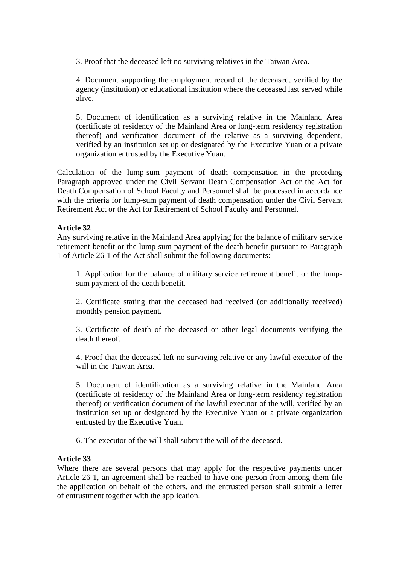3. Proof that the deceased left no surviving relatives in the Taiwan Area.

4. Document supporting the employment record of the deceased, verified by the agency (institution) or educational institution where the deceased last served while alive.

5. Document of identification as a surviving relative in the Mainland Area (certificate of residency of the Mainland Area or long-term residency registration thereof) and verification document of the relative as a surviving dependent, verified by an institution set up or designated by the Executive Yuan or a private organization entrusted by the Executive Yuan.

Calculation of the lump-sum payment of death compensation in the preceding Paragraph approved under the Civil Servant Death Compensation Act or the Act for Death Compensation of School Faculty and Personnel shall be processed in accordance with the criteria for lump-sum payment of death compensation under the Civil Servant Retirement Act or the Act for Retirement of School Faculty and Personnel.

## **Article 32**

Any surviving relative in the Mainland Area applying for the balance of military service retirement benefit or the lump-sum payment of the death benefit pursuant to Paragraph 1 of Article 26-1 of the Act shall submit the following documents:

1. Application for the balance of military service retirement benefit or the lumpsum payment of the death benefit.

2. Certificate stating that the deceased had received (or additionally received) monthly pension payment.

3. Certificate of death of the deceased or other legal documents verifying the death thereof.

4. Proof that the deceased left no surviving relative or any lawful executor of the will in the Taiwan Area.

5. Document of identification as a surviving relative in the Mainland Area (certificate of residency of the Mainland Area or long-term residency registration thereof) or verification document of the lawful executor of the will, verified by an institution set up or designated by the Executive Yuan or a private organization entrusted by the Executive Yuan.

6. The executor of the will shall submit the will of the deceased.

#### **Article 33**

Where there are several persons that may apply for the respective payments under Article 26-1, an agreement shall be reached to have one person from among them file the application on behalf of the others, and the entrusted person shall submit a letter of entrustment together with the application.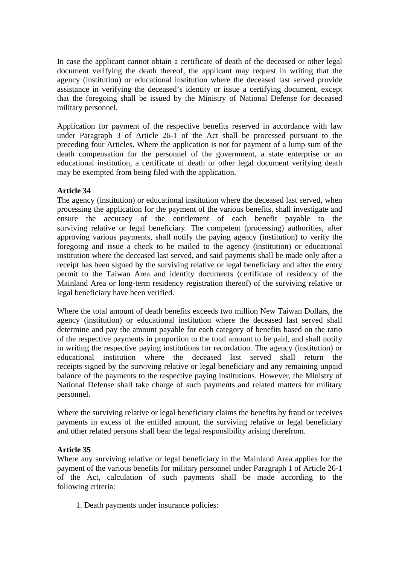In case the applicant cannot obtain a certificate of death of the deceased or other legal document verifying the death thereof, the applicant may request in writing that the agency (institution) or educational institution where the deceased last served provide assistance in verifying the deceased's identity or issue a certifying document, except that the foregoing shall be issued by the Ministry of National Defense for deceased military personnel.

Application for payment of the respective benefits reserved in accordance with law under Paragraph 3 of Article 26-1 of the Act shall be processed pursuant to the preceding four Articles. Where the application is not for payment of a lump sum of the death compensation for the personnel of the government, a state enterprise or an educational institution, a certificate of death or other legal document verifying death may be exempted from being filed with the application.

## **Article 34**

The agency (institution) or educational institution where the deceased last served, when processing the application for the payment of the various benefits, shall investigate and ensure the accuracy of the entitlement of each benefit payable to the surviving relative or legal beneficiary. The competent (processing) authorities, after approving various payments, shall notify the paying agency (institution) to verify the foregoing and issue a check to be mailed to the agency (institution) or educational institution where the deceased last served, and said payments shall be made only after a receipt has been signed by the surviving relative or legal beneficiary and after the entry permit to the Taiwan Area and identity documents (certificate of residency of the Mainland Area or long-term residency registration thereof) of the surviving relative or legal beneficiary have been verified.

Where the total amount of death benefits exceeds two million New Taiwan Dollars, the agency (institution) or educational institution where the deceased last served shall determine and pay the amount payable for each category of benefits based on the ratio of the respective payments in proportion to the total amount to be paid, and shall notify in writing the respective paying institutions for recordation. The agency (institution) or educational institution where the deceased last served shall return the receipts signed by the surviving relative or legal beneficiary and any remaining unpaid balance of the payments to the respective paying institutions. However, the Ministry of National Defense shall take charge of such payments and related matters for military personnel.

Where the surviving relative or legal beneficiary claims the benefits by fraud or receives payments in excess of the entitled amount, the surviving relative or legal beneficiary and other related persons shall bear the legal responsibility arising therefrom.

#### **Article 35**

Where any surviving relative or legal beneficiary in the Mainland Area applies for the payment of the various benefits for military personnel under Paragraph 1 of Article 26-1 of the Act, calculation of such payments shall be made according to the following criteria:

1. Death payments under insurance policies: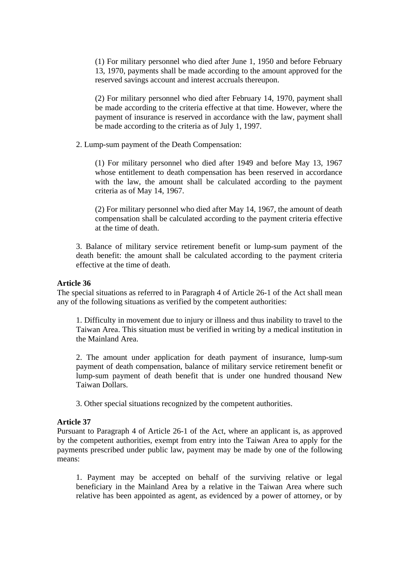(1) For military personnel who died after June 1, 1950 and before February 13, 1970, payments shall be made according to the amount approved for the reserved savings account and interest accruals thereupon.

(2) For military personnel who died after February 14, 1970, payment shall be made according to the criteria effective at that time. However, where the payment of insurance is reserved in accordance with the law, payment shall be made according to the criteria as of July 1, 1997.

2. Lump-sum payment of the Death Compensation:

(1) For military personnel who died after 1949 and before May 13, 1967 whose entitlement to death compensation has been reserved in accordance with the law, the amount shall be calculated according to the payment criteria as of May 14, 1967.

(2) For military personnel who died after May 14, 1967, the amount of death compensation shall be calculated according to the payment criteria effective at the time of death.

3. Balance of military service retirement benefit or lump-sum payment of the death benefit: the amount shall be calculated according to the payment criteria effective at the time of death.

#### **Article 36**

The special situations as referred to in Paragraph 4 of Article 26-1 of the Act shall mean any of the following situations as verified by the competent authorities:

1. Difficulty in movement due to injury or illness and thus inability to travel to the Taiwan Area. This situation must be verified in writing by a medical institution in the Mainland Area.

2. The amount under application for death payment of insurance, lump-sum payment of death compensation, balance of military service retirement benefit or lump-sum payment of death benefit that is under one hundred thousand New Taiwan Dollars.

3. Other special situations recognized by the competent authorities.

#### **Article 37**

Pursuant to Paragraph 4 of Article 26-1 of the Act, where an applicant is, as approved by the competent authorities, exempt from entry into the Taiwan Area to apply for the payments prescribed under public law, payment may be made by one of the following means:

1. Payment may be accepted on behalf of the surviving relative or legal beneficiary in the Mainland Area by a relative in the Taiwan Area where such relative has been appointed as agent, as evidenced by a power of attorney, or by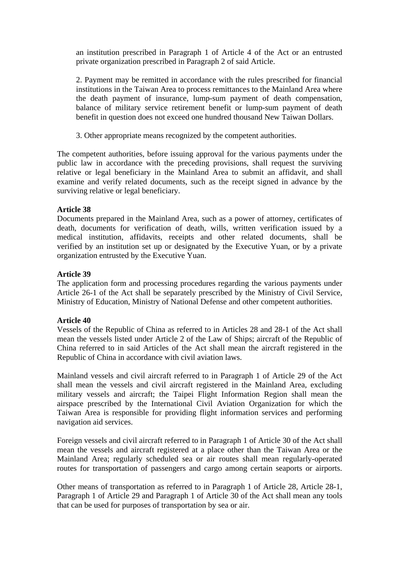an institution prescribed in Paragraph 1 of Article 4 of the Act or an entrusted private organization prescribed in Paragraph 2 of said Article.

2. Payment may be remitted in accordance with the rules prescribed for financial institutions in the Taiwan Area to process remittances to the Mainland Area where the death payment of insurance, lump-sum payment of death compensation, balance of military service retirement benefit or lump-sum payment of death benefit in question does not exceed one hundred thousand New Taiwan Dollars.

3. Other appropriate means recognized by the competent authorities.

The competent authorities, before issuing approval for the various payments under the public law in accordance with the preceding provisions, shall request the surviving relative or legal beneficiary in the Mainland Area to submit an affidavit, and shall examine and verify related documents, such as the receipt signed in advance by the surviving relative or legal beneficiary.

# **Article 38**

Documents prepared in the Mainland Area, such as a power of attorney, certificates of death, documents for verification of death, wills, written verification issued by a medical institution, affidavits, receipts and other related documents, shall be verified by an institution set up or designated by the Executive Yuan, or by a private organization entrusted by the Executive Yuan.

## **Article 39**

The application form and processing procedures regarding the various payments under Article 26-1 of the Act shall be separately prescribed by the Ministry of Civil Service, Ministry of Education, Ministry of National Defense and other competent authorities.

#### **Article 40**

Vessels of the Republic of China as referred to in Articles 28 and 28-1 of the Act shall mean the vessels listed under Article 2 of the Law of Ships; aircraft of the Republic of China referred to in said Articles of the Act shall mean the aircraft registered in the Republic of China in accordance with civil aviation laws.

Mainland vessels and civil aircraft referred to in Paragraph 1 of Article 29 of the Act shall mean the vessels and civil aircraft registered in the Mainland Area, excluding military vessels and aircraft; the Taipei Flight Information Region shall mean the airspace prescribed by the International Civil Aviation Organization for which the Taiwan Area is responsible for providing flight information services and performing navigation aid services.

Foreign vessels and civil aircraft referred to in Paragraph 1 of Article 30 of the Act shall mean the vessels and aircraft registered at a place other than the Taiwan Area or the Mainland Area; regularly scheduled sea or air routes shall mean regularly-operated routes for transportation of passengers and cargo among certain seaports or airports.

Other means of transportation as referred to in Paragraph 1 of Article 28, Article 28-1, Paragraph 1 of Article 29 and Paragraph 1 of Article 30 of the Act shall mean any tools that can be used for purposes of transportation by sea or air.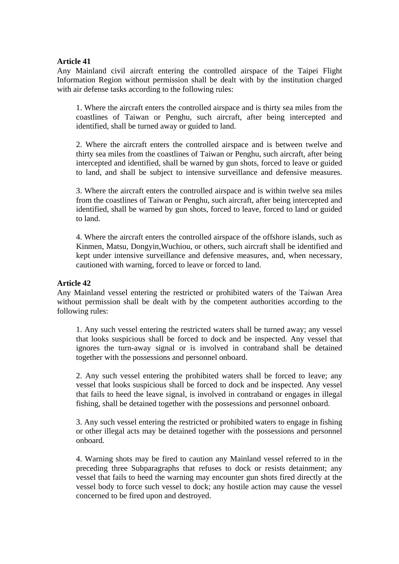Any Mainland civil aircraft entering the controlled airspace of the Taipei Flight Information Region without permission shall be dealt with by the institution charged with air defense tasks according to the following rules:

1. Where the aircraft enters the controlled airspace and is thirty sea miles from the coastlines of Taiwan or Penghu, such aircraft, after being intercepted and identified, shall be turned away or guided to land.

2. Where the aircraft enters the controlled airspace and is between twelve and thirty sea miles from the coastlines of Taiwan or Penghu, such aircraft, after being intercepted and identified, shall be warned by gun shots, forced to leave or guided to land, and shall be subject to intensive surveillance and defensive measures.

3. Where the aircraft enters the controlled airspace and is within twelve sea miles from the coastlines of Taiwan or Penghu, such aircraft, after being intercepted and identified, shall be warned by gun shots, forced to leave, forced to land or guided to land.

4. Where the aircraft enters the controlled airspace of the offshore islands, such as Kinmen, Matsu, Dongyin,Wuchiou, or others, such aircraft shall be identified and kept under intensive surveillance and defensive measures, and, when necessary, cautioned with warning, forced to leave or forced to land.

#### **Article 42**

Any Mainland vessel entering the restricted or prohibited waters of the Taiwan Area without permission shall be dealt with by the competent authorities according to the following rules:

1. Any such vessel entering the restricted waters shall be turned away; any vessel that looks suspicious shall be forced to dock and be inspected. Any vessel that ignores the turn-away signal or is involved in contraband shall be detained together with the possessions and personnel onboard.

2. Any such vessel entering the prohibited waters shall be forced to leave; any vessel that looks suspicious shall be forced to dock and be inspected. Any vessel that fails to heed the leave signal, is involved in contraband or engages in illegal fishing, shall be detained together with the possessions and personnel onboard.

3. Any such vessel entering the restricted or prohibited waters to engage in fishing or other illegal acts may be detained together with the possessions and personnel onboard.

4. Warning shots may be fired to caution any Mainland vessel referred to in the preceding three Subparagraphs that refuses to dock or resists detainment; any vessel that fails to heed the warning may encounter gun shots fired directly at the vessel body to force such vessel to dock; any hostile action may cause the vessel concerned to be fired upon and destroyed.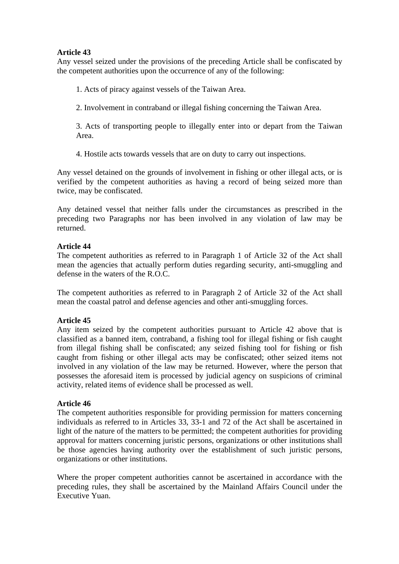Any vessel seized under the provisions of the preceding Article shall be confiscated by the competent authorities upon the occurrence of any of the following:

1. Acts of piracy against vessels of the Taiwan Area.

2. Involvement in contraband or illegal fishing concerning the Taiwan Area.

3. Acts of transporting people to illegally enter into or depart from the Taiwan Area.

4. Hostile acts towards vessels that are on duty to carry out inspections.

Any vessel detained on the grounds of involvement in fishing or other illegal acts, or is verified by the competent authorities as having a record of being seized more than twice, may be confiscated.

Any detained vessel that neither falls under the circumstances as prescribed in the preceding two Paragraphs nor has been involved in any violation of law may be returned.

## **Article 44**

The competent authorities as referred to in Paragraph 1 of Article 32 of the Act shall mean the agencies that actually perform duties regarding security, anti-smuggling and defense in the waters of the R.O.C.

The competent authorities as referred to in Paragraph 2 of Article 32 of the Act shall mean the coastal patrol and defense agencies and other anti-smuggling forces.

#### **Article 45**

Any item seized by the competent authorities pursuant to Article 42 above that is classified as a banned item, contraband, a fishing tool for illegal fishing or fish caught from illegal fishing shall be confiscated; any seized fishing tool for fishing or fish caught from fishing or other illegal acts may be confiscated; other seized items not involved in any violation of the law may be returned. However, where the person that possesses the aforesaid item is processed by judicial agency on suspicions of criminal activity, related items of evidence shall be processed as well.

#### **Article 46**

The competent authorities responsible for providing permission for matters concerning individuals as referred to in Articles 33, 33-1 and 72 of the Act shall be ascertained in light of the nature of the matters to be permitted; the competent authorities for providing approval for matters concerning juristic persons, organizations or other institutions shall be those agencies having authority over the establishment of such juristic persons, organizations or other institutions.

Where the proper competent authorities cannot be ascertained in accordance with the preceding rules, they shall be ascertained by the Mainland Affairs Council under the Executive Yuan.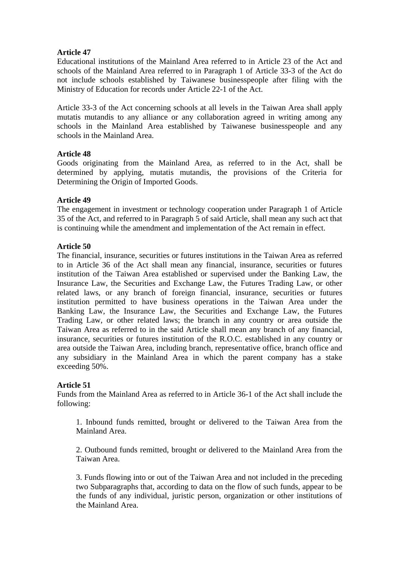Educational institutions of the Mainland Area referred to in Article 23 of the Act and schools of the Mainland Area referred to in Paragraph 1 of Article 33-3 of the Act do not include schools established by Taiwanese businesspeople after filing with the Ministry of Education for records under Article 22-1 of the Act.

Article 33-3 of the Act concerning schools at all levels in the Taiwan Area shall apply mutatis mutandis to any alliance or any collaboration agreed in writing among any schools in the Mainland Area established by Taiwanese businesspeople and any schools in the Mainland Area.

## **Article 48**

Goods originating from the Mainland Area, as referred to in the Act, shall be determined by applying, mutatis mutandis, the provisions of the Criteria for Determining the Origin of Imported Goods.

## **Article 49**

The engagement in investment or technology cooperation under Paragraph 1 of Article 35 of the Act, and referred to in Paragraph 5 of said Article, shall mean any such act that is continuing while the amendment and implementation of the Act remain in effect.

## **Article 50**

The financial, insurance, securities or futures institutions in the Taiwan Area as referred to in Article 36 of the Act shall mean any financial, insurance, securities or futures institution of the Taiwan Area established or supervised under the Banking Law, the Insurance Law, the Securities and Exchange Law, the Futures Trading Law, or other related laws, or any branch of foreign financial, insurance, securities or futures institution permitted to have business operations in the Taiwan Area under the Banking Law, the Insurance Law, the Securities and Exchange Law, the Futures Trading Law, or other related laws; the branch in any country or area outside the Taiwan Area as referred to in the said Article shall mean any branch of any financial, insurance, securities or futures institution of the R.O.C. established in any country or area outside the Taiwan Area, including branch, representative office, branch office and any subsidiary in the Mainland Area in which the parent company has a stake exceeding 50%.

#### **Article 51**

Funds from the Mainland Area as referred to in Article 36-1 of the Act shall include the following:

1. Inbound funds remitted, brought or delivered to the Taiwan Area from the Mainland Area.

2. Outbound funds remitted, brought or delivered to the Mainland Area from the Taiwan Area.

3. Funds flowing into or out of the Taiwan Area and not included in the preceding two Subparagraphs that, according to data on the flow of such funds, appear to be the funds of any individual, juristic person, organization or other institutions of the Mainland Area.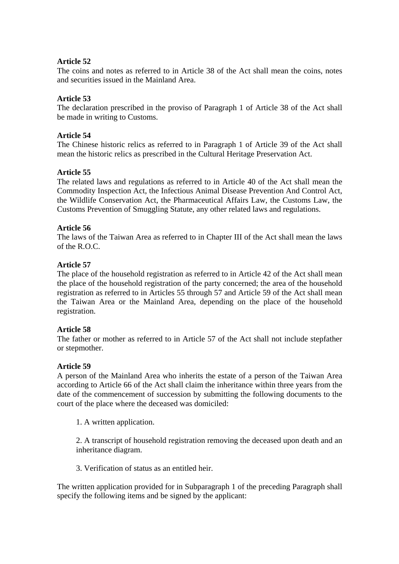The coins and notes as referred to in Article 38 of the Act shall mean the coins, notes and securities issued in the Mainland Area.

## **Article 53**

The declaration prescribed in the proviso of Paragraph 1 of Article 38 of the Act shall be made in writing to Customs.

### **Article 54**

The Chinese historic relics as referred to in Paragraph 1 of Article 39 of the Act shall mean the historic relics as prescribed in the Cultural Heritage Preservation Act.

## **Article 55**

The related laws and regulations as referred to in Article 40 of the Act shall mean the Commodity Inspection Act, the Infectious Animal Disease Prevention And Control Act, the Wildlife Conservation Act, the Pharmaceutical Affairs Law, the Customs Law, the Customs Prevention of Smuggling Statute, any other related laws and regulations.

## **Article 56**

The laws of the Taiwan Area as referred to in Chapter III of the Act shall mean the laws of the R.O.C.

#### **Article 57**

The place of the household registration as referred to in Article 42 of the Act shall mean the place of the household registration of the party concerned; the area of the household registration as referred to in Articles 55 through 57 and Article 59 of the Act shall mean the Taiwan Area or the Mainland Area, depending on the place of the household registration.

#### **Article 58**

The father or mother as referred to in Article 57 of the Act shall not include stepfather or stepmother.

#### **Article 59**

A person of the Mainland Area who inherits the estate of a person of the Taiwan Area according to Article 66 of the Act shall claim the inheritance within three years from the date of the commencement of succession by submitting the following documents to the court of the place where the deceased was domiciled:

1. A written application.

2. A transcript of household registration removing the deceased upon death and an inheritance diagram.

3. Verification of status as an entitled heir.

The written application provided for in Subparagraph 1 of the preceding Paragraph shall specify the following items and be signed by the applicant: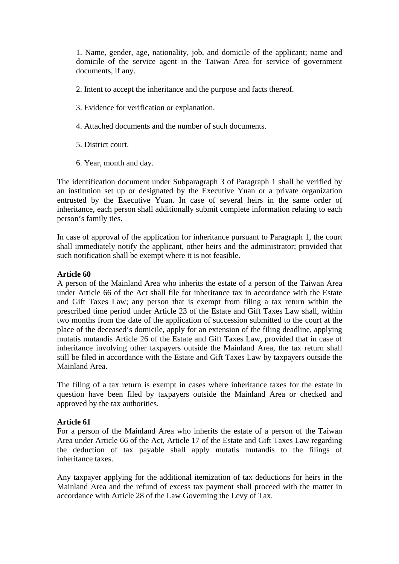1. Name, gender, age, nationality, job, and domicile of the applicant; name and domicile of the service agent in the Taiwan Area for service of government documents, if any.

- 2. Intent to accept the inheritance and the purpose and facts thereof.
- 3. Evidence for verification or explanation.
- 4. Attached documents and the number of such documents.
- 5. District court.
- 6. Year, month and day.

The identification document under Subparagraph 3 of Paragraph 1 shall be verified by an institution set up or designated by the Executive Yuan or a private organization entrusted by the Executive Yuan. In case of several heirs in the same order of inheritance, each person shall additionally submit complete information relating to each person's family ties.

In case of approval of the application for inheritance pursuant to Paragraph 1, the court shall immediately notify the applicant, other heirs and the administrator; provided that such notification shall be exempt where it is not feasible.

## **Article 60**

A person of the Mainland Area who inherits the estate of a person of the Taiwan Area under Article 66 of the Act shall file for inheritance tax in accordance with the Estate and Gift Taxes Law; any person that is exempt from filing a tax return within the prescribed time period under Article 23 of the Estate and Gift Taxes Law shall, within two months from the date of the application of succession submitted to the court at the place of the deceased's domicile, apply for an extension of the filing deadline, applying mutatis mutandis Article 26 of the Estate and Gift Taxes Law, provided that in case of inheritance involving other taxpayers outside the Mainland Area, the tax return shall still be filed in accordance with the Estate and Gift Taxes Law by taxpayers outside the Mainland Area.

The filing of a tax return is exempt in cases where inheritance taxes for the estate in question have been filed by taxpayers outside the Mainland Area or checked and approved by the tax authorities.

# **Article 61**

For a person of the Mainland Area who inherits the estate of a person of the Taiwan Area under Article 66 of the Act, Article 17 of the Estate and Gift Taxes Law regarding the deduction of tax payable shall apply mutatis mutandis to the filings of inheritance taxes.

Any taxpayer applying for the additional itemization of tax deductions for heirs in the Mainland Area and the refund of excess tax payment shall proceed with the matter in accordance with Article 28 of the Law Governing the Levy of Tax.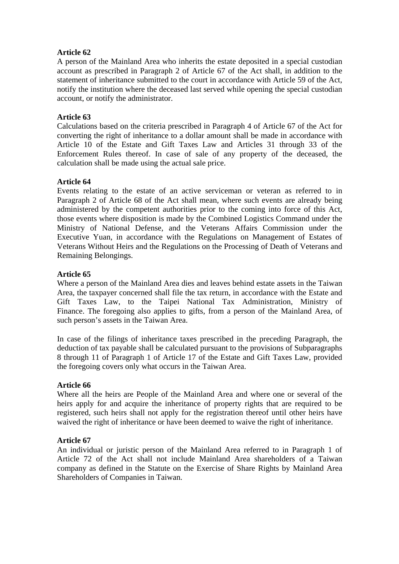A person of the Mainland Area who inherits the estate deposited in a special custodian account as prescribed in Paragraph 2 of Article 67 of the Act shall, in addition to the statement of inheritance submitted to the court in accordance with Article 59 of the Act, notify the institution where the deceased last served while opening the special custodian account, or notify the administrator.

# **Article 63**

Calculations based on the criteria prescribed in Paragraph 4 of Article 67 of the Act for converting the right of inheritance to a dollar amount shall be made in accordance with Article 10 of the Estate and Gift Taxes Law and Articles 31 through 33 of the Enforcement Rules thereof. In case of sale of any property of the deceased, the calculation shall be made using the actual sale price.

# **Article 64**

Events relating to the estate of an active serviceman or veteran as referred to in Paragraph 2 of Article 68 of the Act shall mean, where such events are already being administered by the competent authorities prior to the coming into force of this Act, those events where disposition is made by the Combined Logistics Command under the Ministry of National Defense, and the Veterans Affairs Commission under the Executive Yuan, in accordance with the Regulations on Management of Estates of Veterans Without Heirs and the Regulations on the Processing of Death of Veterans and Remaining Belongings.

## **Article 65**

Where a person of the Mainland Area dies and leaves behind estate assets in the Taiwan Area, the taxpayer concerned shall file the tax return, in accordance with the Estate and Gift Taxes Law, to the Taipei National Tax Administration, Ministry of Finance. The foregoing also applies to gifts, from a person of the Mainland Area, of such person's assets in the Taiwan Area.

In case of the filings of inheritance taxes prescribed in the preceding Paragraph, the deduction of tax payable shall be calculated pursuant to the provisions of Subparagraphs 8 through 11 of Paragraph 1 of Article 17 of the Estate and Gift Taxes Law, provided the foregoing covers only what occurs in the Taiwan Area.

#### **Article 66**

Where all the heirs are People of the Mainland Area and where one or several of the heirs apply for and acquire the inheritance of property rights that are required to be registered, such heirs shall not apply for the registration thereof until other heirs have waived the right of inheritance or have been deemed to waive the right of inheritance.

#### **Article 67**

An individual or juristic person of the Mainland Area referred to in Paragraph 1 of Article 72 of the Act shall not include Mainland Area shareholders of a Taiwan company as defined in the Statute on the Exercise of Share Rights by Mainland Area Shareholders of Companies in Taiwan.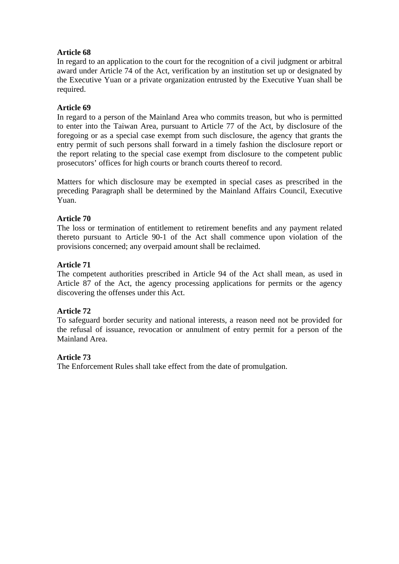In regard to an application to the court for the recognition of a civil judgment or arbitral award under Article 74 of the Act, verification by an institution set up or designated by the Executive Yuan or a private organization entrusted by the Executive Yuan shall be required.

# **Article 69**

In regard to a person of the Mainland Area who commits treason, but who is permitted to enter into the Taiwan Area, pursuant to Article 77 of the Act, by disclosure of the foregoing or as a special case exempt from such disclosure, the agency that grants the entry permit of such persons shall forward in a timely fashion the disclosure report or the report relating to the special case exempt from disclosure to the competent public prosecutors' offices for high courts or branch courts thereof to record.

Matters for which disclosure may be exempted in special cases as prescribed in the preceding Paragraph shall be determined by the Mainland Affairs Council, Executive Yuan.

# **Article 70**

The loss or termination of entitlement to retirement benefits and any payment related thereto pursuant to Article 90-1 of the Act shall commence upon violation of the provisions concerned; any overpaid amount shall be reclaimed.

# **Article 71**

The competent authorities prescribed in Article 94 of the Act shall mean, as used in Article 87 of the Act, the agency processing applications for permits or the agency discovering the offenses under this Act.

# **Article 72**

To safeguard border security and national interests, a reason need not be provided for the refusal of issuance, revocation or annulment of entry permit for a person of the Mainland Area.

# **Article 73**

The Enforcement Rules shall take effect from the date of promulgation.